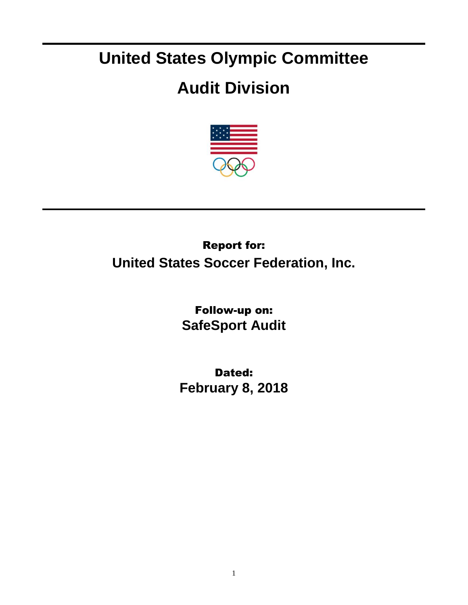## **United States Olympic Committee**

## **Audit Division**



## Report for: **United States Soccer Federation, Inc.**

Follow-up on: **SafeSport Audit**

Dated: **February 8, 2018**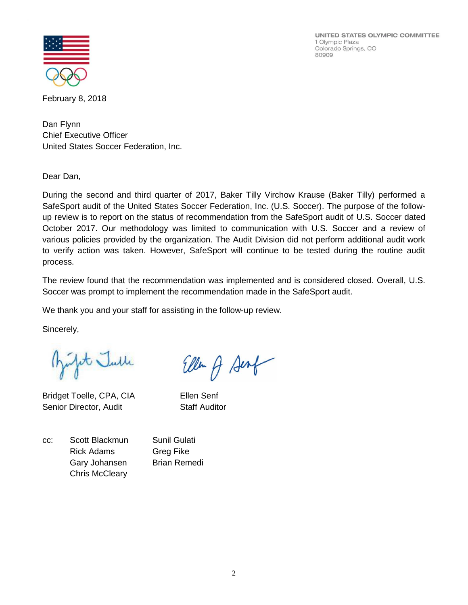UNITED STATES OLYMPIC COMMITTEE 1 Olympic Plaza Colorado Springs, CO 80909



February 8, 2018

Dan Flynn Chief Executive Officer United States Soccer Federation, Inc.

Dear Dan,

During the second and third quarter of 2017, Baker Tilly Virchow Krause (Baker Tilly) performed a SafeSport audit of the United States Soccer Federation, Inc. (U.S. Soccer). The purpose of the followup review is to report on the status of recommendation from the SafeSport audit of U.S. Soccer dated October 2017. Our methodology was limited to communication with U.S. Soccer and a review of various policies provided by the organization. The Audit Division did not perform additional audit work to verify action was taken. However, SafeSport will continue to be tested during the routine audit process.

The review found that the recommendation was implemented and is considered closed. Overall, U.S. Soccer was prompt to implement the recommendation made in the SafeSport audit.

We thank you and your staff for assisting in the follow-up review.

Sincerely,

Jet Julle

Bridget Toelle, CPA, CIA Ellen Senf Senior Director, Audit Staff Auditor

Ellen & Sent

cc: Scott Blackmun Sunil Gulati Rick Adams Greg Fike Gary Johansen Brian Remedi Chris McCleary